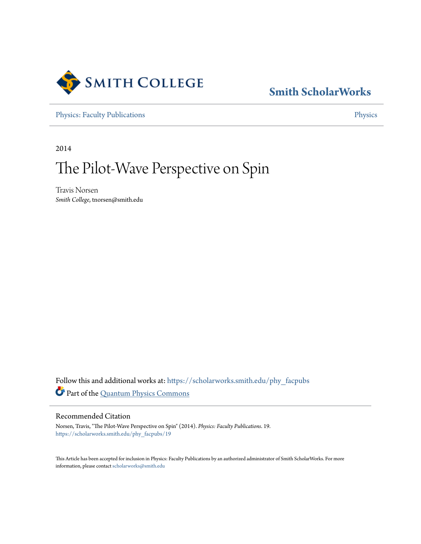

# **[Smith ScholarWorks](https://scholarworks.smith.edu?utm_source=scholarworks.smith.edu%2Fphy_facpubs%2F19&utm_medium=PDF&utm_campaign=PDFCoverPages)**

[Physics: Faculty Publications](https://scholarworks.smith.edu/phy_facpubs?utm_source=scholarworks.smith.edu%2Fphy_facpubs%2F19&utm_medium=PDF&utm_campaign=PDFCoverPages) **[Physics](https://scholarworks.smith.edu/phy?utm_source=scholarworks.smith.edu%2Fphy_facpubs%2F19&utm_medium=PDF&utm_campaign=PDFCoverPages)** 

2014

# The Pilot-Wave Perspective on Spin

Travis Norsen *Smith College*, tnorsen@smith.edu

Follow this and additional works at: [https://scholarworks.smith.edu/phy\\_facpubs](https://scholarworks.smith.edu/phy_facpubs?utm_source=scholarworks.smith.edu%2Fphy_facpubs%2F19&utm_medium=PDF&utm_campaign=PDFCoverPages) Part of the [Quantum Physics Commons](http://network.bepress.com/hgg/discipline/206?utm_source=scholarworks.smith.edu%2Fphy_facpubs%2F19&utm_medium=PDF&utm_campaign=PDFCoverPages)

### Recommended Citation

Norsen, Travis, "The Pilot-Wave Perspective on Spin" (2014). *Physics: Faculty Publications*. 19. [https://scholarworks.smith.edu/phy\\_facpubs/19](https://scholarworks.smith.edu/phy_facpubs/19?utm_source=scholarworks.smith.edu%2Fphy_facpubs%2F19&utm_medium=PDF&utm_campaign=PDFCoverPages)

This Article has been accepted for inclusion in Physics: Faculty Publications by an authorized administrator of Smith ScholarWorks. For more information, please contact [scholarworks@smith.edu](mailto:scholarworks@smith.edu)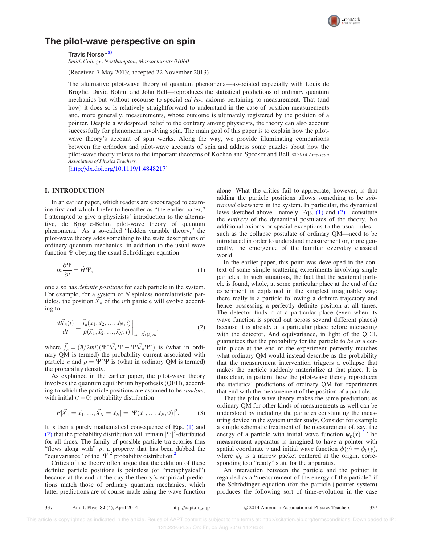

## The pilot-wave perspective on spin

Travis Norsen<sup>a)</sup>

Smith College, Northampton, Massachusetts 01060

(Received 7 May 2013; accepted 22 November 2013)

The alternative pilot-wave theory of quantum phenomena—associated especially with Louis de Broglie, David Bohm, and John Bell—reproduces the statistical predictions of ordinary quantum mechanics but without recourse to special *ad hoc* axioms pertaining to measurement. That (and how) it does so is relatively straightforward to understand in the case of position measurements and, more generally, measurements, whose outcome is ultimately registered by the position of a pointer. Despite a widespread belief to the contrary among physicists, the theory can also account successfully for phenomena involving spin. The main goal of this paper is to explain how the pilotwave theory's account of spin works. Along the way, we provide illuminating comparisons between the orthodox and pilot-wave accounts of spin and address some puzzles about how the pilot-wave theory relates to the important theorems of Kochen and Specker and Bell. © 2014 American Association of Physics Teachers.

[http://dx.doi.org/10.1119/1.4848217]

#### I. INTRODUCTION

In an earlier paper, which readers are encouraged to examine first and which I refer to hereafter as "the earlier paper," I attempted to give a physicists' introduction to the alternative, de Broglie-Bohm pilot-wave theory of quantum phenomena.<sup>1</sup> As a so-called "hidden variable theory," the pilot-wave theory adds something to the state descriptions of ordinary quantum mechanics: in addition to the usual wave function  $\Psi$  obeying the usual Schrödinger equation

$$
i\hbar \frac{\partial \Psi}{\partial t} = \hat{H}\Psi,
$$
\t(1)

one also has definite positions for each particle in the system. For example, for a system of  $N$  spinless nonrelativistic particles, the position  $\overrightarrow{X}_n$  of the *n*th particle will evolve according to

$$
\frac{d\vec{X}_n(t)}{dt} = \frac{\vec{j}_n(\vec{x}_1, \vec{x}_2, \dots, \vec{x}_N, t)}{\rho(\vec{x}_1, \vec{x}_2, \dots, \vec{x}_N, t)}\bigg|_{\vec{x}_k = \vec{X}_k(t) \forall k},
$$
\n(2)

where  $\vec{j}_n = (\hbar/2mi)(\Psi^* \vec{\nabla}_n \Psi - \Psi \vec{\nabla}_n \Psi^*)$  is (what in ordinary QM is termed) the probability current associated with particle *n* and  $\rho = \Psi^* \Psi$  is (what in ordinary QM is termed) the probability density.

As explained in the earlier paper, the pilot-wave theory involves the quantum equilibrium hypothesis (QEH), according to which the particle positions are assumed to be *random*, with initial  $(t = 0)$  probability distribution

$$
P[\vec{X}_1 = \vec{x}_1, ..., \vec{X}_N = \vec{x}_N] = |\Psi(\vec{x}_1, ..., \vec{x}_N, 0)|^2.
$$
 (3)

It is then a purely mathematical consequence of Eqs. (1) and (2) that the probability distribution will remain  $|\Psi|^2$ -distributed for all times. The family of possible particle trajectories thus "flows along with"  $\rho$ , a property that has been dubbed the "equivariance" of the  $|\Psi|^2$  probability distribution.<sup>2</sup>

Critics of the theory often argue that the addition of these definite particle positions is pointless (or "metaphysical") because at the end of the day the theory's empirical predictions match those of ordinary quantum mechanics, which latter predictions are of course made using the wave function

alone. What the critics fail to appreciate, however, is that adding the particle positions allows something to be subtracted elsewhere in the system. In particular, the dynamical laws sketched above—namely, Eqs. (1) and (2)—constitute the entirety of the dynamical postulates of the theory. No additional axioms or special exceptions to the usual rules such as the collapse postulate of ordinary QM—need to be introduced in order to understand measurement or, more generally, the emergence of the familiar everyday classical world.

In the earlier paper, this point was developed in the context of some simple scattering experiments involving single particles. In such situations, the fact that the scattered particle is found, whole, at some particular place at the end of the experiment is explained in the simplest imaginable way: there really is a particle following a definite trajectory and hence possessing a perfectly definite position at all times. The detector finds it at a particular place (even when its wave function is spread out across several different places) because it is already at a particular place before interacting with the detector. And equivariance, in light of the QEH, guarantees that the probability for the particle to be at a certain place at the end of the experiment perfectly matches what ordinary QM would instead describe as the probability that the measurement intervention triggers a collapse that makes the particle suddenly materialize at that place. It is thus clear, in pattern, how the pilot-wave theory reproduces the statistical predictions of ordinary QM for experiments that end with the measurement of the position of a particle.

That the pilot-wave theory makes the same predictions as ordinary QM for other kinds of measurements as well can be understood by including the particles constituting the measuring device in the system under study. Consider for example a simple schematic treatment of the measurement of, say, the energy of a particle with initial wave function  $\psi_0(x)$ .<sup>3</sup> The measurement apparatus is imagined to have a pointer with spatial coordinate y and initial wave function  $\phi(y) = \phi_0(y)$ , where  $\phi_0$  is a narrow packet centered at the origin, corresponding to a "ready" state for the apparatus.

An interaction between the particle and the pointer is regarded as a "measurement of the energy of the particle" if the Schrödinger equation (for the particle+pointer system) produces the following sort of time-evolution in the case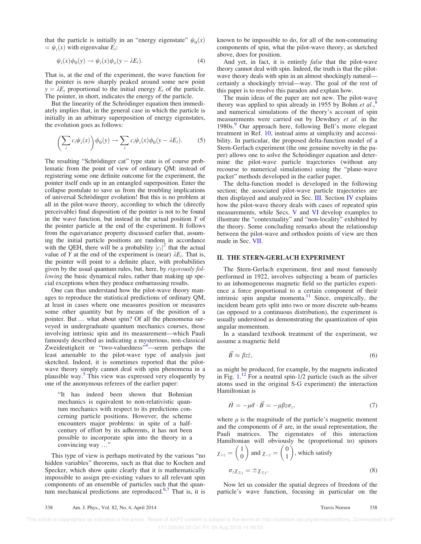that the particle is initially in an "energy eigenstate"  $\psi_0(x)$  $=\psi_i(x)$  with eigenvalue  $E_i$ :

$$
\psi_i(x)\phi_0(y) \to \psi_i(x)\phi_0(y - \lambda E_i). \tag{4}
$$

That is, at the end of the experiment, the wave function for the pointer is now sharply peaked around some new point  $y = \lambda E_i$  proportional to the initial energy  $E_i$  of the particle. The pointer, in short, indicates the energy of the particle.

But the linearity of the Schrödinger equation then immediately implies that, in the general case in which the particle is initially in an arbitrary superposition of energy eigenstates, the evolution goes as follows:

$$
\left(\sum_{i} c_{i} \psi_{i}(x)\right) \phi_{0}(y) \to \sum_{i} c_{i} \psi_{i}(x) \phi_{0}(y - \lambda E_{i}).
$$
 (5)

The resulting "Schrödinger cat" type state is of course problematic from the point of view of ordinary QM: instead of registering some one definite outcome for the experiment, the pointer itself ends up in an entangled superposition. Enter the collapse postulate to save us from the troubling implications of universal Schrödinger evolution! But this is no problem at all in the pilot-wave theory, according to which the (directly perceivable) final disposition of the pointer is not to be found in the wave function, but instead in the actual position  $Y$  of the pointer particle at the end of the experiment. It follows from the equivariance property discussed earlier that, assuming the initial particle positions are random in accordance with the QEH, there will be a probability  $|c_i|^2$  that the actual value of Y at the end of the experiment is (near)  $\lambda E_i$ . That is, the pointer will point to a definite place, with probabilities given by the usual quantum rules, but, here, by rigorously following the basic dynamical rules, rather than making up special exceptions when they produce embarrassing results.

One can thus understand how the pilot-wave theory manages to reproduce the statistical predictions of ordinary QM, at least in cases where one measures position or measures some other quantity but by means of the position of a pointer. But … what about spin? Of all the phenomena surveyed in undergraduate quantum mechanics courses, those involving intrinsic spin and its measurement—which Pauli famously described as indicating a mysterious, non-classical Zweideutigkeit or "two-valuedness"<sup>4</sup>—seem perhaps the least amenable to the pilot-wave type of analysis just sketched. Indeed, it is sometimes reported that the pilotwave theory simply cannot deal with spin phenomena in a plausible way.<sup>5</sup> This view was expressed very eloquently by one of the anonymous referees of the earlier paper:

"It has indeed been shown that Bohmian mechanics is equivalent to non-relativistic quantum mechanics with respect to its predictions concerning particle positions. However, the scheme encounters major problems: in spite of a halfcentury of effort by its adherents, it has not been possible to incorporate spin into the theory in a convincing way …"

This type of view is perhaps motivated by the various "no hidden variables" theorems, such as that due to Kochen and Specker, which show quite clearly that it is mathematically impossible to assign pre-existing values to all relevant spin components of an ensemble of particles such that the quantum mechanical predictions are reproduced. $6,7$  That is, it is known to be impossible to do, for all of the non-commuting components of spin, what the pilot-wave theory, as sketched above, does for position.

And yet, in fact, it is entirely *false* that the pilot-wave theory cannot deal with spin. Indeed, the truth is that the pilotwave theory deals with spin in an almost shockingly natural certainly a shockingly trivial—way. The goal of the rest of this paper is to resolve this paradox and explain how.

The main ideas of the paper are not new. The pilot-wave theory was applied to spin already in 1955 by Bohm et  $al.^8$ and numerical simulations of the theory's account of spin measurements were carried out by Dewdney et al. in the 1980s.<sup>9</sup> Our approach here, following Bell's more elegant treatment in Ref. 10, instead aims at simplicity and accessibility. In particular, the proposed delta-function model of a Stern-Gerlach experiment (the one genuine novelty in the paper) allows one to solve the Schrödinger equation and determine the pilot-wave particle trajectories (without any recourse to numerical simulations) using the "plane-wave packet" methods developed in the earlier paper.

The delta-function model is developed in the following section; the associated pilot-wave particle trajectories are then displayed and analyzed in Sec. III. Section IV explains how the pilot-wave theory deals with cases of repeated spin measurements, while Secs. V and VI develop examples to illustrate the "contextuality" and "non-locality" exhibited by the theory. Some concluding remarks about the relationship between the pilot-wave and orthodox points of view are then made in Sec. VII.

#### II. THE STERN-GERLACH EXPERIMENT

The Stern-Gerlach experiment, first and most famously performed in 1922, involves subjecting a beam of particles to an inhomogeneous magnetic field so the particles experience a force proportional to a certain component of their intrinsic spin angular momenta. $11$  Since, empirically, the incident beam gets split into two or more discrete sub-beams (as opposed to a continuous distribution), the experiment is usually understood as demonstrating the quantization of spin angular momentum.

In a standard textbook treatment of the experiment, we assume a magnetic field

$$
\vec{B} \approx \beta z \hat{z},\tag{6}
$$

as might be produced, for example, by the magnets indicated in Fig. 1.<sup>12</sup> For a neutral spin-1/2 particle (such as the silver atoms used in the original S-G experiment) the interaction Hamiltonian is

$$
\hat{H} = -\mu \vec{\sigma} \cdot \vec{B} = -\mu \beta z \sigma_z, \tag{7}
$$

where  $\mu$  is the magnitude of the particle's magnetic moment and the components of  $\vec{\sigma}$  are, in the usual representation, the Pauli matrices. The eigenstates of this interaction Hamiltonian will obviously be (proportional to) spinors  $(1)$ 

$$
\chi_{+z} = \begin{pmatrix} 1 \\ 0 \end{pmatrix} \text{ and } \chi_{-z} = \begin{pmatrix} 0 \\ 1 \end{pmatrix}, \text{ which satisfy}
$$

$$
\sigma_z \chi_{\pm z} = \pm \chi_{\pm z}.
$$
 (8)

Now let us consider the spatial degrees of freedom of the particle's wave function, focusing in particular on the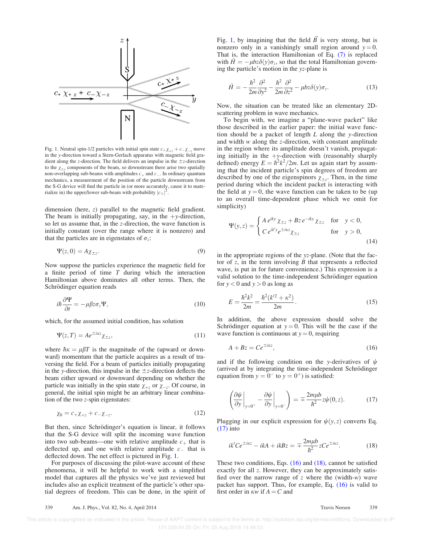

Fig. 1. Neutral spin-1/2 particles with initial spin state  $c_{+\chi_{+z}} + c_{-\chi_{-z}}$  move in the y-direction toward a Stern-Gerlach apparatus with magnetic field gradient along the z-direction. The field delivers an impulse in the  $\pm z$ -direction to the  $\chi_{\pm z}$  components of the beam, so downstream there arise two spatially non-overlapping sub-beams with amplitudes  $c_+$  and  $c_-$ . In ordinary quantum mechanics, a measurement of the position of the particle downstream from the S-G device will find the particle in (or more accurately, cause it to materialize in) the upper/lower sub-beam with probability  $|c_{\pm}|^2$ .

dimension (here, z) parallel to the magnetic field gradient. The beam is initially propagating, say, in the  $+y$ -direction, so let us assume that, in the z-direction, the wave function is initially constant (over the range where it is nonzero) and that the particles are in eigenstates of  $\sigma_z$ :

$$
\Psi(z,0) = A\chi_{\pm z}.\tag{9}
$$

Now suppose the particles experience the magnetic field for a finite period of time  $T$  during which the interaction Hamiltonian above dominates all other terms. Then, the Schrödinger equation reads

$$
i\hbar \frac{\partial \Psi}{\partial t} = -\mu \beta z \sigma_z \Psi,
$$
\n(10)

which, for the assumed initial condition, has solution

$$
\Psi(z,T) = Ae^{\pm i\kappa z} \chi_{\pm z},\tag{11}
$$

where  $\hbar \kappa = \mu \beta T$  is the magnitude of the (upward or downward) momentum that the particle acquires as a result of traversing the field. For a beam of particles initially propagating in the y-direction, this impulse in the  $\pm z$ -direction deflects the beam either upward or downward depending on whether the particle was initially in the spin state  $\chi_{+z}$  or  $\chi_{-z}$ . Of course, in general, the initial spin might be an arbitrary linear combination of the two z-spin eigenstates:

$$
\chi_0 = c_+ \chi_{+z} + c_- \chi_{-z}.\tag{12}
$$

But then, since Schrödinger's equation is linear, it follows that the S-G device will split the incoming wave function into two sub-beams—one with relative amplitude  $c_{+}$  that is deflected up, and one with relative amplitude  $c_{-}$  that is deflected down. The net effect is pictured in Fig. 1.

For purposes of discussing the pilot-wave account of these phenomena, it will be helpful to work with a simplified model that captures all the physics we've just reviewed but includes also an explicit treatment of the particle's other spatial degrees of freedom. This can be done, in the spirit of

Fig. 1, by imagining that the field  $\vec{B}$  is very strong, but is nonzero only in a vanishingly small region around  $y = 0$ . That is, the interaction Hamiltonian of Eq. (7) is replaced with  $\hat{H} = -\mu b z \delta(y)\sigma_z$ , so that the total Hamiltonian governing the particle's motion in the yz-plane is

$$
\hat{H} = -\frac{\hbar^2}{2m}\frac{\partial^2}{\partial y^2} - \frac{\hbar^2}{2m}\frac{\partial^2}{\partial z^2} - \mu bz\delta(y)\sigma_z.
$$
 (13)

Now, the situation can be treated like an elementary 2Dscattering problem in wave mechanics.

To begin with, we imagine a "plane-wave packet" like those described in the earlier paper: the initial wave function should be a packet of length  $L$  along the y-direction and width w along the z-direction, with constant amplitude in the region where its amplitude doesn't vanish, propagating initially in the  $+y$ -direction with (reasonably sharply defined) energy  $E = \hbar^2 k^2/2m$ . Let us again start by assuming that the incident particle's spin degrees of freedom are described by one of the eigenspinors  $\chi_{\pm z}$ . Then, in the time period during which the incident packet is interacting with the field at  $y = 0$ , the wave function can be taken to be (up to an overall time-dependent phase which we omit for simplicity)

$$
\Psi(y,z) = \begin{cases} A e^{iky} \chi_{\pm z} + Bz e^{-iky} \chi_{\pm z} & \text{for} \quad y < 0, \\ C e^{ik'y} e^{\pm ikz} \chi_{\pm z} & \text{for} \quad y > 0, \end{cases} \tag{14}
$$

in the appropriate regions of the yz-plane. (Note that the factor of  $z$ , in the term involving  $B$  that represents a reflected wave, is put in for future convenience.) This expression is a valid solution to the time-independent Schrödinger equation for  $y < 0$  and  $y > 0$  as long as

$$
E = \frac{\hbar^2 k^2}{2m} = \frac{\hbar^2 (k^2 + \kappa^2)}{2m}.
$$
 (15)

In addition, the above expression should solve the Schrödinger equation at  $y = 0$ . This will be the case if the wave function is continuous at  $y = 0$ , requiring

$$
A + Bz = Ce^{\pm i\kappa z},\tag{16}
$$

and if the following condition on the y-derivatives of  $\psi$ (arrived at by integrating the time-independent Schrödinger equation from  $y = 0^-$  to  $y = 0^+$ ) is satisfied:

$$
\left(\frac{\partial \psi}{\partial y}\bigg|_{y=0^+} - \frac{\partial \psi}{\partial y}\bigg|_{y=0^-}\right) = \pm \frac{2m\mu b}{\hbar^2} z\psi(0, z). \tag{17}
$$

Plugging in our explicit expression for  $\psi(y, z)$  converts Eq.  $(17)$  into

$$
ik'Ce^{\pm i\kappa z} - ikA + ikBz = \mp \frac{2m\mu b}{\hbar^2}zCe^{\pm i\kappa z}.
$$
 (18)

These two conditions, Eqs. (16) and (18), cannot be satisfied exactly for all z. However, they can be approximately satisfied over the narrow range of  $z$  where the (width-w) wave packet has support. Thus, for example, Eq. (16) is valid to first order in  $\kappa w$  if  $A = C$  and

339 Am. J. Phys., Vol. 82, No. 4, April 2014 **Travis Norsen 339** Travis Norsen 339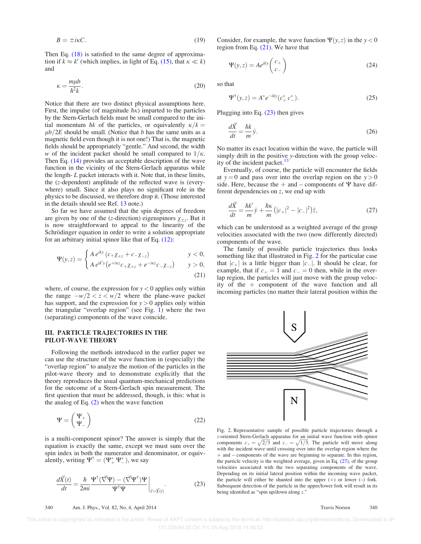$$
B = \pm i\kappa C. \tag{19}
$$

Then Eq. (18) is satisfied to the same degree of approximation if  $k \approx k'$  (which implies, in light of Eq. (15), that  $\kappa \ll k$ ) and

$$
\kappa = \frac{m\mu b}{\hbar^2 k}.
$$
\n(20)

Notice that there are two distinct physical assumptions here. First, the impulse (of magnitude  $\hbar\kappa$ ) imparted to the particles by the Stern-Gerlach fields must be small compared to the initial momentum  $\hbar k$  of the particles, or equivalently  $\kappa/k =$  $\mu b/2E$  should be small. (Notice that b has the same units as a magnetic field even though it is not one!) That is, the magnetic fields should be appropriately "gentle." And second, the width w of the incident packet should be small compared to  $1/\kappa$ . Then Eq. (14) provides an acceptable description of the wave function in the vicinity of the Stern-Gerlach apparatus while the length- L packet interacts with it. Note that, in these limits, the (z-dependent) amplitude of the reflected wave is (everywhere) small. Since it also plays no significant role in the physics to be discussed, we therefore drop it. (Those interested in the details should see Ref. 13 note.)

So far we have assumed that the spin degrees of freedom are given by one of the (z-direction) eigenspinors  $\chi_{\pm z}$ . But it is now straightforward to appeal to the linearity of the Schrödinger equation in order to write a solution appropriate for an arbitrary initial spinor like that of Eq. (12):

$$
\Psi(\mathbf{y}|\mathbf{z}) = \int A e^{iky} \left( c_+ \chi_{+z} + c_- \chi_{-z} \right) \qquad \qquad \mathbf{y} < 0,
$$

$$
\Psi(y, z) = \begin{cases} A e^{ik'y} \left( e^{+ikz} c_+ \chi_{+z} + e^{-ikz} c_- \chi_{-z} \right) & y > 0, \\ A e^{ik'y} \left( e^{+ikz} c_+ \chi_{+z} + e^{-ikz} c_- \chi_{-z} \right) & y > 0, \end{cases}
$$
(21)

where, of course, the expression for  $y < 0$  applies only within the range  $-w/2 < z < w/2$  where the plane-wave packet has support, and the expression for  $y > 0$  applies only within the triangular "overlap region" (see Fig. 1) where the two (separating) components of the wave coincide.

#### III. PARTICLE TRAJECTORIES IN THE PILOT-WAVE THEORY

Following the methods introduced in the earlier paper we can use the structure of the wave function in (especially) the "overlap region" to analyze the motion of the particles in the pilot-wave theory and to demonstrate explicitly that the theory reproduces the usual quantum-mechanical predictions for the outcome of a Stern-Gerlach spin measurement. The first question that must be addressed, though, is this: what is the analog of Eq.  $(2)$  when the wave function

$$
\Psi = \begin{pmatrix} \Psi_+ \\ \Psi_- \end{pmatrix} \tag{22}
$$

is a multi-component spinor? The answer is simply that the equation is exactly the same, except we must sum over the spin index in both the numerator and denominator, or equivalently, writing  $\Psi^{\dagger} = (\Psi^*_{+} \Psi^*_{-}),$  we say

$$
\frac{d\vec{X}(t)}{dt} = \frac{\hbar}{2mi} \frac{\Psi^{\dagger}(\vec{\nabla}\Psi) - (\vec{\nabla}\Psi^{\dagger})\Psi}{\Psi^{\dagger}\Psi} \bigg|_{\vec{x} = \vec{X}(t)}.
$$
(23)

340 Am. J. Phys., Vol. 82, No. 4, April 2014 Travis Norsen 340 Travis Norsen 340

Consider, for example, the wave function  $\Psi(y, z)$  in the  $y < 0$ region from Eq. (21). We have that

$$
\Psi(y, z) = A e^{iky} \begin{pmatrix} c_+ \\ c_- \end{pmatrix}
$$
 (24)

so that

$$
\Psi^{\dagger}(y, z) = A^* e^{-iky} (c_+^* c_-^*). \tag{25}
$$

Plugging into Eq. (23) then gives

$$
\frac{d\vec{X}}{dt} = \frac{\hbar k}{m}\hat{y}.
$$
\n(26)

No matter its exact location within the wave, the particle will simply drift in the positive y-direction with the group velocity of the incident packet.<sup>13</sup>

Eventually, of course, the particle will encounter the fields at  $y = 0$  and pass over into the overlap region on the  $y > 0$ side. Here, because the  $+$  and – components of  $\Psi$  have different dependencies on z, we end up with

$$
\frac{d\vec{X}}{dt} = \frac{\hbar k'}{m} \hat{y} + \frac{\hbar \kappa}{m} \left( |c_{+}|^{2} - |c_{-}|^{2} \right) \hat{z},\tag{27}
$$

which can be understood as a weighted average of the group velocities associated with the two (now differently directed) components of the wave.

The family of possible particle trajectories thus looks something like that illustrated in Fig. 2 for the particular case that  $|c_+|$  is a little bigger than  $|c_-|$ . It should be clear, for example, that if  $c_+ = 1$  and  $c_- = 0$  then, while in the overlap region, the particles will just move with the group velocity of the  $+$  component of the wave function and all incoming particles (no matter their lateral position within the



Fig. 2. Representative sample of possible particle trajectories through a z-oriented Stern-Gerlach apparatus for an initial wave function with spinor components  $c_+ = \sqrt{2/3}$  and  $c_- = \sqrt{1/3}$ . The particle will move along with the incident wave until crossing over into the overlap region where the  $+$  and  $-$  components of the wave are beginning to separate. In this region, the particle velocity is the weighted average, given in Eq.  $(27)$ , of the group velocities associated with the two separating components of the wave. Depending on its initial lateral position within the incoming wave packet, the particle will either be shunted into the upper  $(+)$  or lower  $(-)$  fork. Subsequent detection of the particle in the upper/lower fork will result in its being identified as "spin up/down along z."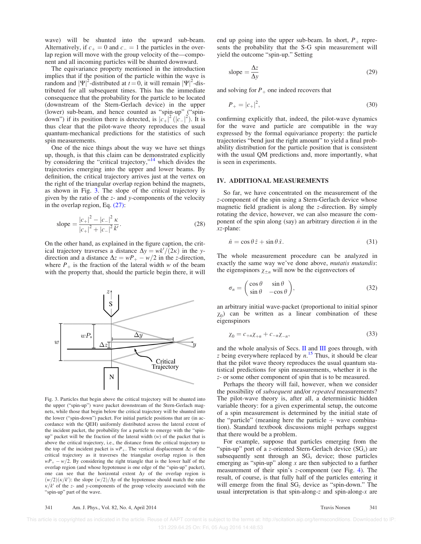wave) will be shunted into the upward sub-beam. Alternatively, if  $c_+ = 0$  and  $c_- = 1$  the particles in the overlap region will move with the group velocity of the—component and all incoming particles will be shunted downward.

The equivariance property mentioned in the introduction implies that if the position of the particle within the wave is random and  $|\Psi|^2$ -distributed at  $t = 0$ , it will remain  $|\Psi|^2$ -distributed for all subsequent times. This has the immediate consequence that the probability for the particle to be located (downstream of the Stern-Gerlach device) in the upper (lower) sub-beam, and hence counted as "spin-up" ("spindown") if its position there is detected, is  $|c_{+}|^{2}$  ( $|c_{-}|^{2}$ ). It is thus clear that the pilot-wave theory reproduces the usual quantum-mechanical predictions for the statistics of such spin measurements.

One of the nice things about the way we have set things up, though, is that this claim can be demonstrated explicitly by considering the "critical trajectory,"<sup>14</sup> which divides the trajectories emerging into the upper and lower beams. By definition, the critical trajectory arrives just at the vertex on the right of the triangular overlap region behind the magnets, as shown in Fig. 3. The slope of the critical trajectory is given by the ratio of the z- and y-components of the velocity in the overlap region, Eq. (27):

slope 
$$
=\frac{|c_+|^2 - |c_-|^2 \kappa}{|c_+|^2 + |c_-|^2 \kappa}
$$
. (28)

On the other hand, as explained in the figure caption, the critical trajectory traverses a distance  $\Delta y = \frac{wk'}{2\kappa}$  in the ydirection and a distance  $\Delta z = wP_+ - w/2$  in the z-direction, where  $P_+$  is the fraction of the lateral width w of the beam with the property that, should the particle begin there, it will



Fig. 3. Particles that begin above the critical trajectory will be shunted into the upper ("spin-up") wave packet downstream of the Stern-Gerlach magnets, while those that begin below the critical trajectory will be shunted into the lower ("spin-down") packet. For initial particle positions that are (in accordance with the QEH) uniformly distributed across the lateral extent of the incident packet, the probability for a particle to emerge with the "spinup" packet will be the fraction of the lateral width  $(w)$  of the packet that is above the critical trajectory, i.e., the distance from the critical trajectory to the top of the incident packet is  $wP_+$ . The vertical displacement  $\Delta z$  of the critical trajectory as it traverses the triangular overlap region is then  $wP_+ - w/2$ . By considering the right triangle that is the lower half of the overlap region (and whose hypotenuse is one edge of the "spin-up" packet), one can see that the horizontal extent  $\Delta y$  of the overlap region is  $(w/2)(k/k')$ : the slope  $(w/2)/\Delta y$  of the hypotenuse should match the ratio  $\kappa/k'$  of the z- and y-components of the group velocity associated with the "spin-up" part of the wave.

end up going into the upper sub-beam. In short,  $P_+$  represents the probability that the S-G spin measurement will yield the outcome "spin-up." Setting

$$
slope = \frac{\Delta z}{\Delta y} \tag{29}
$$

and solving for  $P_+$  one indeed recovers that

$$
P_{+} = |c_{+}|^{2}, \tag{30}
$$

confirming explicitly that, indeed, the pilot-wave dynamics for the wave and particle are compatible in the way expressed by the formal equivariance property: the particle trajectories "bend just the right amount" to yield a final probability distribution for the particle position that is consistent with the usual QM predictions and, more importantly, what is seen in experiments.

#### IV. ADDITIONAL MEASUREMENTS

So far, we have concentrated on the measurement of the z-component of the spin using a Stern-Gerlach device whose magnetic field gradient is along the z-direction. By simply rotating the device, however, we can also measure the component of the spin along (say) an arbitrary direction  $\hat{n}$  in the xz-plane:

$$
\hat{n} = \cos \theta \,\hat{z} + \sin \theta \,\hat{x}.\tag{31}
$$

The whole measurement procedure can be analyzed in exactly the same way we've done above, mutatis mutandis: the eigenspinors  $\chi_{\pm n}$  will now be the eigenvectors of

$$
\sigma_n = \begin{pmatrix} \cos \theta & \sin \theta \\ \sin \theta & -\cos \theta \end{pmatrix},\tag{32}
$$

an arbitrary initial wave-packet (proportional to initial spinor  $\chi_0$ ) can be written as a linear combination of these eigenspinors

$$
\chi_0 = c_{+n}\chi_{+n} + c_{-n}\chi_{-n},\tag{33}
$$

and the whole analysis of Secs. II and III goes through, with z being everywhere replaced by  $n<sup>15</sup>$ . Thus, it should be clear that the pilot wave theory reproduces the usual quantum statistical predictions for spin measurements, whether it is the z- or some other component of spin that is to be measured.

Perhaps the theory will fail, however, when we consider the possibility of subsequent and/or repeated measurements? The pilot-wave theory is, after all, a deterministic hidden variable theory: for a given experimental setup, the outcome of a spin measurement is determined by the initial state of the "particle" (meaning here the particle  $+$  wave combination). Standard textbook discussions might perhaps suggest that there would be a problem.

For example, suppose that particles emerging from the "spin-up" port of a z-oriented Stern-Gerlach device  $(SG_z)$  are subsequently sent through an  $SG_x$  device; those particles emerging as "spin-up" along  $x$  are then subjected to a further measurement of their spin's z-component (see Fig. 4). The result, of course, is that fully half of the particles entering it will emerge from the final  $SG<sub>z</sub>$  device as "spin-down." The usual interpretation is that spin-along-z and spin-along-x are

#### 341 Am. J. Phys., Vol. 82, No. 4, April 2014 **Travis Norsen 341** Travis Norsen 341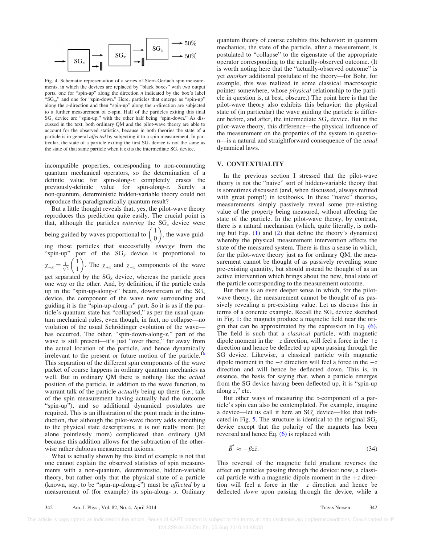

Fig. 4. Schematic representation of a series of Stern-Gerlach spin measurements, in which the devices are replaced by "black boxes" with two output ports, one for "spin-up" along the direction  $n$  indicated by the box's label " $SG_n$ ," and one for "spin-down." Here, particles that emerge as "spin-up" along the z-direction and then "spin-up" along the x-direction are subjected to a further measurement of z-spin. Half of the particles exiting this final  $SG<sub>z</sub>$  device are "spin-up," with the other half being "spin-down." As discussed in the text, both ordinary QM and the pilot-wave theory are able to account for the observed statistics, because in both theories the state of a particle is in general *affected* by subjecting it to a spin measurement. In particular, the state of a particle exiting the first  $SG<sub>z</sub>$  device is not the same as the state of that same particle when it exits the intermediate  $SG<sub>x</sub>$  device.

incompatible properties, corresponding to non-commuting quantum mechanical operators, so the determination of a definite value for spin-along-x completely erases the previously-definite value for spin-along-z. Surely a non-quantum, deterministic hidden-variable theory could not reproduce this paradigmatically quantum result?

But a little thought reveals that, yes, the pilot-wave theory reproduces this prediction quite easily. The crucial point is that, although the particles *entering* the  $SG_x$  device were being guided by waves proportional to  $\begin{pmatrix} 1 \\ 0 \end{pmatrix}$ , the wave guiding those particles that successfully emerge from the "spin-up" port of the  $SG_x$  device is proportional to  $\chi_{+x} = \frac{1}{\sqrt{2}} \begin{pmatrix} 1 \\ 1 \end{pmatrix}$  $\begin{pmatrix} 1 \\ 1 \end{pmatrix}$ . The  $\chi_{+x}$  and  $\chi_{-x}$  components of the wave get separated by the  $SG_x$  device, whereas the particle goes one way or the other. And, by definition, if the particle ends up in the "spin-up-along-x" beam, downstream of the  $SG_x$ device, the component of the wave now surrounding and guiding it is the "spin-up-along-x" part. So it is as if the particle's quantum state has "collapsed," as per the usual quantum mechanical rules, even though, in fact, no collapse—no violation of the usual Schrödinger evolution of the wave has occurred. The other, "spin-down-along-x," part of the wave is still present—it's just "over there," far away from the actual location of the particle, and hence dynamically irrelevant to the present or future motion of the particle.<sup>16</sup> This separation of the different spin components of the wave packet of course happens in ordinary quantum mechanics as well. But in ordinary QM there is nothing like the *actual* position of the particle, in addition to the wave function, to warrant talk of the particle *actually* being up there (i.e., talk of the spin measurement having actually had the outcome "spin-up"), and so additional dynamical postulates are required. This is an illustration of the point made in the introduction, that although the pilot-wave theory adds something to the physical state descriptions, it is not really more (let alone pointlessly more) complicated than ordinary QM because this addition allows for the subtraction of the otherwise rather dubious measurement axioms.

What is actually shown by this kind of example is not that one cannot explain the observed statistics of spin measurements with a non-quantum, deterministic, hidden-variable theory, but rather only that the physical state of a particle (known, say, to be "spin-up-along-z") must be affected by a measurement of (for example) its spin-along- $x$ . Ordinary

quantum theory of course exhibits this behavior: in quantum mechanics, the state of the particle, after a measurement, is postulated to "collapse" to the eigenstate of the appropriate operator corresponding to the actually-observed outcome. (It is worth noting here that the "actually-observed outcome" is yet another additional postulate of the theory—for Bohr, for example, this was realized in some classical macroscopic pointer somewhere, whose *physical* relationship to the particle in question is, at best, obscure.) The point here is that the pilot-wave theory also exhibits this behavior: the physical state of (in particular) the wave guiding the particle is different before, and after, the intermediate  $SG_x$  device. But in the pilot-wave theory, this difference—the physical influence of the measurement on the properties of the system in question—is a natural and straightforward consequence of the *usual* dynamical laws.

#### V. CONTEXTUALITY

In the previous section I stressed that the pilot-wave theory is not the "naive" sort of hidden-variable theory that is sometimes discussed (and, when discussed, always refuted with great pomp!) in textbooks. In these "naive" theories, measurements simply passively reveal some pre-existing value of the property being measured, without affecting the state of the particle. In the pilot-wave theory, by contrast, there is a natural mechanism (which, quite literally, is nothing but Eqs. (1) and (2) that define the theory's dynamics) whereby the physical measurement intervention affects the state of the measured system. There is thus a sense in which, for the pilot-wave theory just as for ordinary QM, the measurement cannot be thought of as passively revealing some pre-existing quantity, but should instead be thought of as an active intervention which brings about the new, final state of the particle corresponding to the measurement outcome.

But there is an even deeper sense in which, for the pilotwave theory, the measurement cannot be thought of as passively revealing a pre-existing value. Let us discuss this in terms of a concrete example. Recall the  $SG<sub>z</sub>$  device sketched in Fig. 1: the magnets produce a magnetic field near the origin that can be approximated by the expression in Eq.  $(6)$ . The field is such that a *classical* particle, with magnetic dipole moment in the  $+z$  direction, will feel a force in the  $+z$ direction and hence be deflected up upon passing through the SG device. Likewise, a classical particle with magnetic dipole moment in the  $-z$  direction will feel a force in the  $-z$ direction and will hence be deflected down. This is, in essence, the basis for saying that, when a particle emerges from the SG device having been deflected up, it is "spin-up along z," etc.

But other ways of measuring the z-component of a particle's spin can also be contemplated. For example, imagine a device—let us call it here an  $SG'_{z}$  device—like that indicated in Fig. 5. The structure is identical to the original  $SG<sub>z</sub>$ device except that the polarity of the magnets has been reversed and hence Eq. (6) is replaced with

$$
\vec{B}' \approx -\beta z \hat{z}.\tag{34}
$$

This reversal of the magnetic field gradient reverses the effect on particles passing through the device: now, a classical particle with a magnetic dipole moment in the  $+z$  direction will feel a force in the  $-z$  direction and hence be deflected down upon passing through the device, while a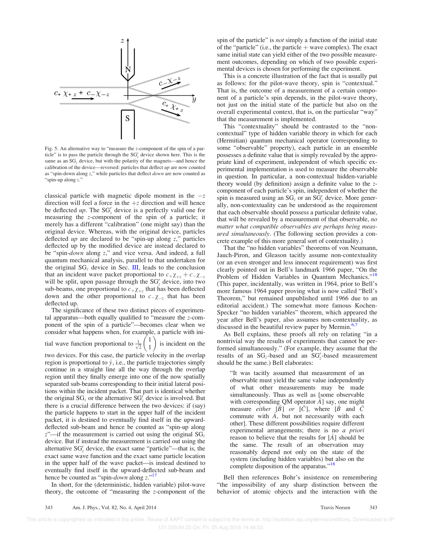

Fig. 5. An alternative way to "measure the z-component of the spin of a particle" is to pass the particle through the  $SG'_{z}$  device shown here. This is the same as an  $SG<sub>z</sub>$  device, but with the polarity of the magnets—and hence the calibration of the device—reversed: particles that deflect  $up$  are now counted as "spin-down along z," while particles that deflect down are now counted as "spin-up along z."

classical particle with magnetic dipole moment in the  $-z$ direction will feel a force in the  $+z$  direction and will hence be deflected *up*. The  $SG'_z$  device is a perfectly valid one for measuring the z-component of the spin of a particle; it merely has a different "calibration" (one might say) than the original device. Whereas, with the original device, particles deflected up are declared to be "spin-up along z," particles deflected up by the modified device are instead declared to be "spin-down along z," and vice versa. And indeed, a full quantum mechanical analysis, parallel to that undertaken for the original  $SG<sub>z</sub>$  device in Sec. III, leads to the conclusion that an incident wave packet proportional to  $c_{+\chi_{+z}} + c_{-\chi_{-z}}$ will be split, upon passage through the  $SG'_{z}$  device, into two sub-beams, one proportional to  $c_{+\chi_{+z}}$  that has been deflected down and the other proportional to  $c_{-\chi_{-z}}$  that has been deflected up.

The significance of these two distinct pieces of experimental apparatus—both equally qualified to "measure the z-component of the spin of a particle"—becomes clear when we consider what happens when, for example, a particle with initial wave function proportional to  $\frac{1}{\sqrt{2}}\begin{pmatrix} 1\\1 \end{pmatrix}$  $\begin{pmatrix} 1 \\ 1 \end{pmatrix}$  is incident on the

two devices. For this case, the particle velocity in the overlap region is proportional to  $\hat{y}$ , i.e., the particle trajectories simply continue in a straight line all the way through the overlap region until they finally emerge into one of the now spatially separated sub-beams corresponding to their initial lateral positions within the incident packet. That part is identical whether the original  $SG_z$  or the alternative  $SG'_z$  device is involved. But there is a crucial difference between the two devices: if (say) the particle happens to start in the upper half of the incident packet, it is destined to eventually find itself in the upwarddeflected sub-beam and hence be counted as "spin-up along  $z^{\prime\prime}$ —if the measurement is carried out using the original  $SG<sub>z</sub>$ device. But if instead the measurement is carried out using the alternative  $SG'_{z}$  device, the exact same "particle"—that is, the exact same wave function and the exact same particle location in the upper half of the wave packet—is instead destined to eventually find itself in the upward-deflected sub-beam and hence be counted as "spin-*down* along z."<sup>17</sup>

In short, for the (deterministic, hidden variable) pilot-wave theory, the outcome of "measuring the z-component of the

spin of the particle" is *not* simply a function of the initial state of the "particle" (i.e., the particle  $+$  wave complex). The exact same initial state can yield either of the two possible measurement outcomes, depending on which of two possible experimental devices is chosen for performing the experiment.

This is a concrete illustration of the fact that is usually put as follows: for the pilot-wave theory, spin is "contextual." That is, the outcome of a measurement of a certain component of a particle's spin depends, in the pilot-wave theory, not just on the initial state of the particle but also on the overall experimental context, that is, on the particular "way" that the measurement is implemented.

This "contextuality" should be contrasted to the "noncontextual" type of hidden variable theory in which for each (Hermitian) quantum mechanical operator (corresponding to some "observable" property), each particle in an ensemble possesses a definite value that is simply revealed by the appropriate kind of experiment, independent of which specific experimental implementation is used to measure the observable in question. In particular, a non-contextual hidden-variable theory would (by definition) assign a definite value to the zcomponent of each particle's spin, independent of whether the spin is measured using an  $SG<sub>z</sub>$  or an  $SG'_{z}$  device. More generally, non-contextuality can be understood as the requirement that each observable should possess a particular definite value, that will be revealed by a measurement of that observable, no matter what compatible observables are perhaps being measured simultaneously. (The following section provides a concrete example of this more general sort of contextuality.)

That the "no hidden variables" theorems of von Neumann, Jauch-Piron, and Gleason tacitly assume non-contextuality (or an even stronger and less innocent requirement) was first clearly pointed out in Bell's landmark 1966 paper, "On the Problem of Hidden Variables in Quantum Mechanics."<sup>18</sup> (This paper, incidentally, was written in 1964, prior to Bell's more famous 1964 paper proving what is now called "Bell's Theorem," but remained unpublished until 1966 due to an editorial accident.) The somewhat more famous Kochen-Specker "no hidden variables" theorem, which appeared the year after Bell's paper, also assumes non-contextuality, as discussed in the beautiful review paper by Mermin. $\frac{6}{7}$ ,

As Bell explains, these proofs all rely on relating "in a nontrivial way the results of experiments that cannot be performed simultaneously." (For example, they assume that the results of an  $SG_z$ -based and an  $SG'_z$ -based measurement should be the same.) Bell elaborates:

"It was tacitly assumed that measurement of an observable must yield the same value independently of what other measurements may be made simultaneously. Thus as well as [some observable with corresponding QM operator A<sup> $]$ </sup> say, one might measure *either* [B] or [C], where [B and C commute with  $\hat{A}$ , but not necessarily with each other]. These different possibilities require different experimental arrangements; there is no a priori reason to believe that the results for  $[A]$  should be the same. The result of an observation may reasonably depend not only on the state of the system (including hidden variables) but also on the complete disposition of the apparatus."<sup>18</sup>

Bell then references Bohr's insistence on remembering "the impossibility of any sharp distinction between the behavior of atomic objects and the interaction with the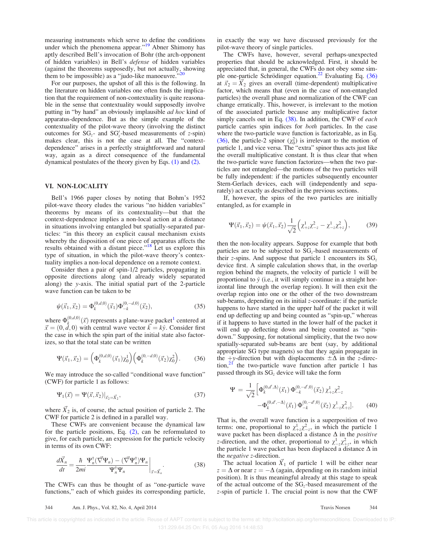measuring instruments which serve to define the conditions under which the phenomena appear."<sup>19</sup> Abner Shimony has aptly described Bell's invocation of Bohr (the arch-opponent of hidden variables) in Bell's defense of hidden variables (against the theorems supposedly, but not actually, showing  $\frac{120}{12}$ them to be impossible) as a "judo-like manoeuvre."

For our purposes, the upshot of all this is the following. In the literature on hidden variables one often finds the implication that the requirement of non-contextuality is quite reasonable in the sense that contextuality would supposedly involve putting in "by hand" an obviously implausible *ad hoc* kind of apparatus-dependence. But as the simple example of the contextuality of the pilot-wave theory (involving the distinct outcomes for  $SG_z$ - and  $SG'_z$ -based measurements of z-spin) makes clear, this is not the case at all. The "contextdependence" arises in a perfectly straightforward and natural way, again as a direct consequence of the fundamental dynamical postulates of the theory given by Eqs. (1) and (2).

#### VI. NON-LOCALITY

Bell's 1966 paper closes by noting that Bohm's 1952 pilot-wave theory eludes the various "no hidden variables" theorems by means of its contextuality—but that the context-dependence implies a non-local action at a distance in situations involving entangled but spatially-separated particles: "in this theory an explicit causal mechanism exists whereby the disposition of one piece of apparatus affects the results obtained with a distant piece."<sup>18</sup> Let us explore this type of situation, in which the pilot-wave theory's contextuality implies a non-local dependence on a remote context.

Consider then a pair of spin-1/2 particles, propagating in opposite directions along (and already widely separated along) the y-axis. The initial spatial part of the 2-particle wave function can be taken to be

$$
\psi(\vec{x}_1, \vec{x}_2) = \Phi_k^{(0,d,0)}(\vec{x}_1) \Phi_{-k}^{(0,-d,0)}(\vec{x}_2), \tag{35}
$$

where  $\Phi_k^{(0,d,0)}(\vec{x})$  represents a plane-wave packet<sup>1</sup> centered at  $\vec{x} = (0, \hat{d}, 0)$  with central wave vector  $\vec{k} = k\hat{y}$ . Consider first the case in which the spin part of the initial state also factorizes, so that the total state can be written

$$
\Psi(\vec{x}_1, \vec{x}_2) = \left(\Phi_k^{(0,d,0)}(\vec{x}_1)\chi_0^1\right) \left(\Phi_k^{(0,-d,0)}(\vec{x}_2)\chi_0^2\right). \tag{36}
$$

We may introduce the so-called "conditional wave function" (CWF) for particle 1 as follows:

$$
\Psi_1(\vec{x}) = \Psi(\vec{x}, \vec{x}_2)|_{\vec{x}_2 = \vec{x}_2},\tag{37}
$$

where  $\vec{X}_2$  is, of course, the actual position of particle 2. The CWF for particle 2 is defined in a parallel way.

These CWFs are convenient because the dynamical law for the particle positions, Eq. (2), can be reformulated to give, for each particle, an expression for the particle velocity in terms of its own CWF:

$$
\frac{d\vec{X}_n}{dt} = \frac{\hbar}{2mi} \frac{\Psi_n^{\dagger} (\vec{\nabla} \Psi_n) - (\vec{\nabla} \Psi_n^{\dagger}) \Psi_n}{\Psi_n^{\dagger} \Psi_n} \bigg|_{\vec{x} = \vec{X}_n}.
$$
(38)

The CWFs can thus be thought of as "one-particle wave functions," each of which guides its corresponding particle,

in exactly the way we have discussed previously for the pilot-wave theory of single particles.

The CWFs have, however, several perhaps-unexpected properties that should be acknowledged. First, it should be appreciated that, in general, the CWFs do not obey some simple one-particle Schrödinger equation.<sup>22</sup> Evaluating Eq. (36) at  $\vec{x}_2 = \vec{X}_2$  gives an overall (time-dependent) multiplicative factor, which means that (even in the case of non-entangled particles) the overall phase and normalization of the CWF can change erratically. This, however, is irrelevant to the motion of the associated particle because any multiplicative factor simply cancels out in Eq. (38). In addition, the CWF of *each* particle carries spin indices for both particles. In the case where the two-particle wave function is factorizable, as in Eq. (36), the particle-2 spinor  $(\chi_0^2)$  is irrelevant to the motion of particle 1, and vice versa. The "extra" spinor thus acts just like the overall multiplicative constant. It is thus clear that when the two-particle wave function factorizes—when the two particles are not entangled—the motions of the two particles will be fully independent: if the particles subsequently encounter Stern-Gerlach devices, each will (independently and separately) act exactly as described in the previous sections.

If, however, the spins of the two particles are initially entangled, as for example in

$$
\Psi(\vec{x}_1, \vec{x}_2) = \psi(\vec{x}_1, \vec{x}_2) \frac{1}{\sqrt{2}} \left( \chi_{+z}^1 \chi_{-z}^2 - \chi_{-z}^1 \chi_{+z}^2 \right), \tag{39}
$$

then the non-locality appears. Suppose for example that both particles are to be subjected to  $SG<sub>z</sub>$ -based measurements of their z-spins. And suppose that particle 1 encounters its  $SG<sub>z</sub>$ device first. A simple calculation shows that, in the overlap region behind the magnets, the velocity of particle 1 will be proportional to  $\hat{y}$  (i.e., it will simply continue in a straight horizontal line through the overlap region). It will then exit the overlap region into one or the other of the two downstream sub-beams, depending on its initial z-coordinate: if the particle happens to have started in the upper half of the packet it will end up deflecting up and being counted as "spin-up," whereas if it happens to have started in the lower half of the packet it will end up deflecting down and being counted as "spindown." Supposing, for notational simplicity, that the two now spatially-separated sub-beams are bent (say, by additional appropriate SG type magnets) so that they again propagate in the +y-direction but with displacements  $\pm \Delta$  in the z-direction, $2^{\gamma}$  the two-particle wave function after particle 1 has passed through its  $SG<sub>z</sub>$  device will take the form

$$
\Psi = \frac{1}{\sqrt{2}} \Big[ \Phi_k^{(0,d',\Delta)}(\vec{x}_1) \, \Phi_{-k}^{(0,-d',0)}(\vec{x}_2) \, \chi_{+z}^1 \chi_{-z}^2 - \Phi_k^{(0,d',-\Delta)}(\vec{x}_1) \, \Phi_{-k}^{(0,-d',0)}(\vec{x}_2) \, \chi_{-z}^1 \chi_{+z}^2]. \tag{40}
$$

That is, the overall wave function is a superposition of two terms: one, proportional to  $\chi^1_{+z}\chi^2_{-z}$ , in which the particle 1 wave packet has been displaced a distance  $\Delta$  in the *positive* z-direction, and the other, proportional to  $\chi^1_{z} \chi^2_{+z}$ , in which the particle 1 wave packet has been displaced a distance  $\Delta$  in the negative z-direction.

The actual location  $\vec{X}_1$  of particle 1 will be either near  $z = \Delta$  or near  $z = -\Delta$  (again, depending on its random initial position). It is thus meaningful already at this stage to speak of the actual outcome of the  $SG<sub>z</sub>$ -based measurement of the z-spin of particle 1. The crucial point is now that the CWF

#### 344 Am. J. Phys., Vol. 82, No. 4, April 2014 **Travis Norsen 344** Travis Norsen 344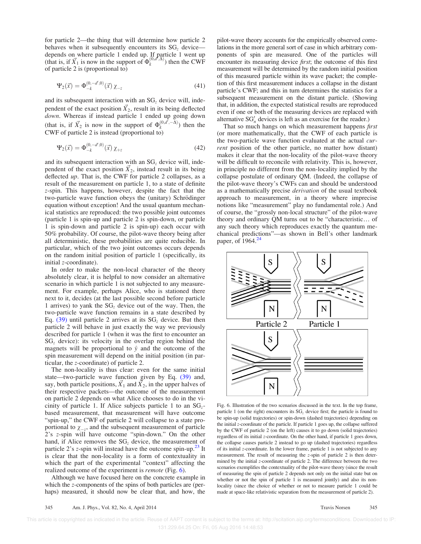for particle 2—the thing that will determine how particle 2 behaves when it subsequently encounters its  $SG<sub>z</sub>$  device depends on where particle 1 ended up. If particle 1 went up (that is, if  $\vec{X}_1$  is now in the support of  $\Phi_k^{(0,d^*,\Delta)}$ ) then the CWF of particle 2 is (proportional to)

$$
\Psi_2(\vec{x}) = \Phi_{-k}^{(0, -d', 0)}(\vec{x}) \chi_{-z}
$$
\n(41)

and its subsequent interaction with an  $SG<sub>z</sub>$  device will, independent of the exact position  $\vec{X}_2$ , result in its being deflected down. Whereas if instead particle 1 ended up going down (that is, if  $\vec{X}_2$  is now in the support of  $\Phi_k^{(0,d',-\Delta)}$ ) then the CWF of particle 2 is instead (proportional to)

$$
\Psi_2(\vec{x}) = \Phi_{-k}^{(0, -d', 0)}(\vec{x}) \chi_{+z} \tag{42}
$$

and its subsequent interaction with an  $SG<sub>z</sub>$  device will, independent of the exact position  $\vec{X}_2$ , instead result in its being deflected up. That is, the CWF for particle 2 collapses, as a result of the measurement on particle 1, to a state of definite z-spin. This happens, however, despite the fact that the two-particle wave function obeys the (unitary) Schrödinger equation without exception! And the usual quantum mechanical statistics are reproduced: the two possible joint outcomes (particle 1 is spin-up and particle 2 is spin-down, or particle 1 is spin-down and particle 2 is spin-up) each occur with 50% probability. Of course, the pilot-wave theory being after all deterministic, these probabilities are quite reducible. In particular, which of the two joint outcomes occurs depends on the random initial position of particle 1 (specifically, its initial z-coordinate).

In order to make the non-local character of the theory absolutely clear, it is helpful to now consider an alternative scenario in which particle 1 is not subjected to any measurement. For example, perhaps Alice, who is stationed there next to it, decides (at the last possible second before particle 1 arrives) to yank the  $SG<sub>z</sub>$  device out of the way. Then, the two-particle wave function remains in a state described by Eq. (39) until particle 2 arrives at its  $SG<sub>z</sub>$  device. But then particle 2 will behave in just exactly the way we previously described for particle 1 (when it was the first to encounter an  $SG<sub>z</sub>$  device): its velocity in the overlap region behind the magnets will be proportional to  $\hat{y}$  and the outcome of the spin measurement will depend on the initial position (in particular, the z-coordinate) of particle 2.

The non-locality is thus clear: even for the same initial state—two-particle wave function given by Eq. (39) and, say, both particle positions,  $\vec{X}_1$  and  $\vec{X}_2$ , in the upper halves of their respective packets—the outcome of the measurement on particle 2 depends on what Alice chooses to do in the vicinity of particle 1. If Alice subjects particle 1 to an  $SG<sub>z</sub>$ based measurement, that measurement will have outcome "spin-up," the CWF of particle 2 will collapse to a state proportional to  $\chi_{-z}$ , and the subsequent measurement of particle 2's z-spin will have outcome "spin-down." On the other hand, if Alice removes the  $SG<sub>z</sub>$  device, the measurement of particle 2's z-spin will instead have the outcome spin-up.<sup>23</sup> It is clear that the non-locality is a form of contextuality in which the part of the experimental "context" affecting the realized outcome of the experiment is *remote* (Fig. 6).

Although we have focused here on the concrete example in which the z-components of the spins of both particles are (perhaps) measured, it should now be clear that, and how, the pilot-wave theory accounts for the empirically observed correlations in the more general sort of case in which arbitrary components of spin are measured. One of the particles will encounter its measuring device *first*; the outcome of this first measurement will be determined by the random initial position of this measured particle within its wave packet; the completion of this first measurement induces a collapse in the distant particle's CWF; and this in turn determines the statistics for a subsequent measurement on the distant particle. (Showing that, in addition, the expected statistical results are reproduced even if one or both of the measuring devices are replaced with alternative  $SG_n'$  devices is left as an exercise for the reader.)

That so much hangs on which measurement happens *first* (or more mathematically, that the CWF of each particle is the two-particle wave function evaluated at the actual current position of the other particle, no matter how distant) makes it clear that the non-locality of the pilot-wave theory will be difficult to reconcile with relativity. This is, however, in principle no different from the non-locality implied by the collapse postulate of ordinary QM. (Indeed, the collapse of the pilot-wave theory's CWFs can and should be understood as a mathematically precise derivation of the usual textbook approach to measurement, in a theory where imprecise notions like "measurement" play no fundamental role.) And of course, the "grossly non-local structure" of the pilot-wave theory and ordinary QM turns out to be "characteristic… of any such theory which reproduces exactly the quantum mechanical predictions"—as shown in Bell's other landmark paper, of  $1964.<sup>24</sup>$ 



Fig. 6. Illustration of the two scenarios discussed in the text. In the top frame, particle 1 (on the right) encounters its  $SG<sub>z</sub>$  device first; the particle is found to be spin-up (solid trajectories) or spin-down (dashed trajectories) depending on the initial z-coordinate of the particle. If particle 1 goes up, the collapse suffered by the CWF of particle 2 (on the left) causes it to go down (solid trajectories) regardless of its initial z-coordinate. On the other hand, if particle 1 goes down, the collapse causes particle 2 instead to go up (dashed trajectories) regardless of its initial z-coordinate. In the lower frame, particle 1 is not subjected to any measurement. The result of measuring the z-spin of particle 2 is then determined by the initial z-coordinate of particle 2. The difference between the two scenarios exemplifies the contextuality of the pilot-wave theory (since the result of measuring the spin of particle 2 depends not only on the initial state but on whether or not the spin of particle 1 is measured jointly) and also its nonlocality (since the choice of whether or not to measure particle 1 could be made at space-like relativistic separation from the measurement of particle 2).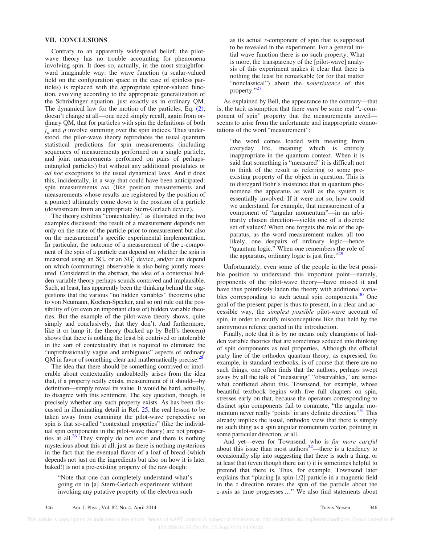#### VII. CONCLUSIONS

Contrary to an apparently widespread belief, the pilotwave theory has no trouble accounting for phenomena involving spin. It does so, actually, in the most straightforward imaginable way: the wave function (a scalar-valued field on the configuration space in the case of spinless particles) is replaced with the appropriate spinor-valued function, evolving according to the appropriate generalization of the Schrödinger equation, just exactly as in ordinary QM. The dynamical law for the motion of the particles, Eq. (2), doesn't change at all—one need simply recall, again from ordinary QM, that for particles with spin the definitions of both  $j_n$  and  $\rho$  involve summing over the spin indices. Thus understood, the pilot-wave theory reproduces the usual quantum statistical predictions for spin measurements (including sequences of measurements performed on a single particle, and joint measurements performed on pairs of perhapsentangled particles) but without any additional postulates or ad hoc exceptions to the usual dynamical laws. And it does this, incidentally, in a way that could have been anticipated: spin measurements too (like position measurements and measurements whose results are registered by the position of a pointer) ultimately come down to the position of a particle (downstream from an appropriate Stern-Gerlach device).

The theory exhibits "contextuality," as illustrated in the two examples discussed: the result of a measurement depends not only on the state of the particle prior to measurement but also on the measurement's specific experimental implementation. In particular, the outcome of a measurement of the z-component of the spin of a particle can depend on whether the spin is measured using an  $SG_z$  or an  $SG'_z$  device, and/or can depend on which (commuting) observable is also being jointly measured. Considered in the abstract, the idea of a contextual hidden variable theory perhaps sounds contrived and implausible. Such, at least, has apparently been the thinking behind the suggestions that the various "no hidden variables" theorems (due to von Neumann, Kochen-Specker, and so on) rule out the possibility of (or even an important class of) hidden variable theories. But the example of the pilot-wave theory shows, quite simply and conclusively, that they don't. And furthermore, like it or lump it, the theory (backed up by Bell's theorem) shows that there is nothing the least bit contrived or intolerable in the sort of contextuality that is required to eliminate the "unprofessionally vague and ambiguous" aspects of ordinary QM in favor of something clear and mathematically precise.<sup>2</sup>

The idea that there should be something contrived or intolerable about contextuality undoubtedly arises from the idea that, if a property really exists, measurement of it should—by definition—simply reveal its value. It would be hard, actually, to disagree with this sentiment. The key question, though, is precisely whether any such property exists. As has been discussed in illuminating detail in Ref. 25, the real lesson to be taken away from examining the pilot-wave perspective on spin is that so-called "contextual properties" (like the individual spin components in the pilot-wave theory) are not properties at all.26 They simply do not exist and there is nothing mysterious about this at all, just as there is nothing mysterious in the fact that the eventual flavor of a loaf of bread (which depends not just on the ingredients but also on how it is later baked!) is not a pre-existing property of the raw dough:

"Note that one can completely understand what's going on in [a] Stern-Gerlach experiment without invoking any putative property of the electron such as its actual z-component of spin that is supposed to be revealed in the experiment. For a general initial wave function there is no such property. What is more, the transparency of the [pilot-wave] analysis of this experiment makes it clear that there is nothing the least bit remarkable (or for that matter "nonclassical") about the nonexistence of this property."<sup>2</sup>

As explained by Bell, the appearance to the contrary—that is, the tacit assumption that there must be some real "z-component of spin" property that the measurements unveil seems to arise from the unfortunate and inappropriate connotations of the word "measurement":

"the word comes loaded with meaning from everyday life, meaning which is entirely inappropriate in the quantum context. When it is said that something is "measured" it is difficult not to think of the result as referring to some preexisting property of the object in question. This is to disregard Bohr's insistence that in quantum phenomena the apparatus as well as the system is essentially involved. If it were not so, how could we understand, for example, that measurement of a component of "angular momentum"—in an arbitrarily chosen direction—yields one of a discrete set of values? When one forgets the role of the apparatus, as the word measurement makes all too likely, one despairs of ordinary logic—hence "quantum logic." When one remembers the role of the apparatus, ordinary logic is just fine."<sup>29</sup>

Unfortunately, even some of the people in the best possible position to understand this important point—namely, proponents of the pilot-wave theory—have missed it and have thus pointlessly laden the theory with additional variables corresponding to such actual spin components. $30$  One goal of the present paper is thus to present, in a clear and accessible way, the simplest possible pilot-wave account of spin, in order to rectify misconceptions like that held by the anonymous referee quoted in the introduction.

Finally, note that it is by no means only champions of hidden variable theories that are sometimes seduced into thinking of spin components as real properties. Although the official party line of the orthodox quantum theory, as expressed, for example, in standard textbooks, is of course that there are no such things, one often finds that the authors, perhaps swept away by all the talk of "measuring" "observables," are somewhat conflicted about this. Townsend, for example, whose beautiful textbook begins with five full chapters on spin, stresses early on that, because the operators corresponding to distinct spin components fail to commute, "the angular momentum never really 'points' in any definite direction."<sup>31</sup> This already implies the usual, orthodox view that there is simply no such thing as a spin angular momentum vector, pointing in some particular direction, at all.

And yet—even for Townsend, who is far more careful about this issue than most authors $32$ —there is a tendency to occasionally slip into suggesting that there is such a thing, or at least that (even though there isn't) it is sometimes helpful to pretend that there is. Thus, for example, Townsend later explains that "placing [a spin-1/2] particle in a magnetic field in the z direction rotates the spin of the particle about the z-axis as time progresses…" We also find statements about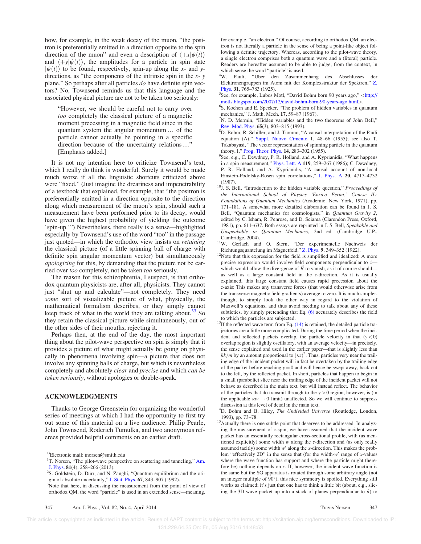how, for example, in the weak decay of the muon, "the positron is preferentially emitted in a direction opposite to the spin direction of the muon" and even a description of  $\langle +x | \psi(t) \rangle$ and  $\langle +y|\psi(t)\rangle$ , the amplitudes for a particle in spin state  $|\psi(t)\rangle$  to be found, respectively, spin-up along the x- and ydirections, as "the components of the intrinsic spin in the  $x - y$ plane." So perhaps after all particles do have definite spin vectors? No, Townsend reminds us that this language and the associated physical picture are not to be taken too seriously:

"However, we should be careful not to carry over too completely the classical picture of a magnetic moment precessing in a magnetic field since in the quantum system the angular momentum … of the particle cannot actually be pointing in a specific direction because of the uncertainty relations …" [Emphasis added.]

It is not my intention here to criticize Townsend's text, which I really do think is wonderful. Surely it would be made much worse if all the linguistic shortcuts criticized above were "fixed." (Just imagine the dreariness and impenetrability of a textbook that explained, for example, that "the positron is preferentially emitted in a direction opposite to the direction along which measurement of the muon's spin, should such a measurement have been performed prior to its decay, would have given the highest probability of yielding the outcome 'spin-up.'") Nevertheless, there really is a sense—highlighted especially by Townsend's use of the word "too" in the passage just quoted—in which the orthodox view insists on *retaining* the classical picture (of a little spinning ball of charge with definite spin angular momentum vector) but simultaneously apologizing for this, by demanding that the picture not be carried over *too* completely, not be taken *too* seriously.

The reason for this schizophrenia, I suspect, is that orthodox quantum physicists are, after all, physicists. They cannot just "shut up and calculate"—not completely. They need some sort of visualizable picture of what, physically, the mathematical formalism describes, or they simply cannot keep track of what in the world they are talking about.<sup>33</sup> So they retain the classical picture while simultaneously, out of the other sides of their mouths, rejecting it.

Perhaps then, at the end of the day, the most important thing about the pilot-wave perspective on spin is simply that it provides a picture of what might actually be going on physically in phenomena involving spin—a picture that does not involve any spinning balls of charge, but which is nevertheless completely and absolutely *clear* and *precise* and which *can be* taken seriously, without apologies or double-speak.

#### ACKNOWLEDGMENTS

Thanks to George Greenstein for organizing the wonderful series of meetings at which I had the opportunity to first try out some of this material on a live audience. Philip Pearle, John Townsend, Roderich Tumulka, and two anonymous referees provided helpful comments on an earlier draft.

<sup>1</sup>T. Norsen, "The pilot-wave perspective on scattering and tunneling," Am. J. Phys. <sup>81</sup>(4), 258–266 (2013). <sup>2</sup>

for example, "an electron." Of course, according to orthodox QM, an electron is not literally a particle in the sense of being a point-like object following a definite trajectory. Whereas, according to the pilot-wave theory, a single electron comprises both a quantum wave and a (literal) particle. Readers are hereafter assumed to be able to judge, from the context, in which sense the word "particle" is used.

<sup>4</sup>W. Pauli, "Über den Zusammenhang des Abschlusses der Elektronengruppen im Atom mit der Komplexstruktur der Spektren," Z. Phys. 31, 765-783 (1925).

<sup>5</sup>See, for example, Lubos Motl, "David Bohm born 90 years ago," <http:// motls.blogspot.com/2007/12/david-bohm-born-90-years-ago.html>. <sup>6</sup>

<sup>6</sup>S. Kochen and E. Specker, "The problem of hidden variables in quantum mechanics," J. Math. Mech. 17, 59-87 (1967).

N. D. Mermin, "Hidden variables and the two theorems of John Bell," Rev. Mod. Phys. 65(3), 803-815 (1993).

<sup>8</sup>D. Bohm, R. Schiller, and J. Tiomno, "A causal interpretation of the Pauli equation (A)," Suppl. Nuovo Cimento 1, 48–66 (1955); see also T. Takabayasi, "The vector representation of spinning particle in the quantum theory, I," Prog. Theor. Phys. 14, 283-302 (1955).

<sup>9</sup>See, e.g., C. Dewdney, P. R. Holland, and A. Kyprianidis, "What happens in a spin measurement," Phys. Lett. A 119, 259–267 (1986); C. Dewdney, P. R. Holland, and A. Kyprianidis, "A causal account of non-local Einstein-Podolsky-Rosen spin correlations," J. Phys. A 20, 4717–4732

- $^{10}$ J. S. Bell, "Introduction to the hidden variable question," Proceedings of the International School of Physics 'Enrico Fermi,' Course IL: Foundations of Quantum Mechanics (Academic, New York, 1971), pp. 171–181. A somewhat more detailed elaboration can be found in J. S. Bell, "Quantum mechanics for cosmologists," in Quantum Gravity 2, edited by C. Isham, R. Penrose, and D. Sciama (Clarendon Press, Oxford, 1981), pp. 611–637. Both essays are reprinted in J. S. Bell, Speakable and Unspeakable in Quantum Mechanics, 2nd ed. (Cambridge U.P.,
- <sup>11</sup>W. Gerlach and O. Stern, "Der experimentelle Nachweis der
- Richtungsquantelung im Magnetfeld," Z. Phys. 9, 349–352 (1922). <sup>12</sup>Note that this expression for the field is simplified and idealized: A more precise expression would involve field components perpendicular to  $\hat{z}$  which would allow the divergence of  $\vec{B}$  to vanish, as it of course should as well as a large constant field in the z-direction. As it is usually explained, this large constant field causes rapid precession about the z-axis: This makes any transverse forces (that would otherwise arise from the transverse magnetic field gradients) average to zero. It is much simpler, though, to simply look the other way in regard to the violation of Maxwell's equations, and thus avoid needing to talk about any of these subtleties, by simply pretending that Eq. (6) accurately describes the field
- to which the particles are subjected.<br><sup>13</sup>If the reflected wave term from Eq.  $(14)$  is retained, the detailed particle trajectories are a little more complicated. During the time period when the incident and reflected packets overlap, the particle velocity in that  $(y < 0)$ overlap region is slightly oscillatory, with an average velocity—in precisely, the sense explained and used in the earlier paper—that is slightly less than  $\hbar k/m$  by an amount proportional to  $(\kappa z)^2$ . Thus, particles very near the trailing edge of the incident packet will in fact be overtaken by the trailing edge of the packet before reaching  $y = 0$  and will hence be swept away, back out to the left, by the reflected packet. In short, particles that happen to begin in a small (parabolic) slice near the trailing edge of the incident packet will not behave as described in the main text, but will instead reflect. The behavior of the particles that do transmit through to the  $y > 0$  region, however, is (in the applicable  $\kappa w \to 0$  limit) unaffected. So we will continue to suppress discussion at this level of detail in the main text.
- $14$ D. Bohm and B. Hiley, The Undivided Universe (Routledge, London,
- 1993), pp. 73–78.  $15$ Actually there is one subtle point that deserves to be addressed. In analyzing the measurement of z-spin, we have assumed that the incident wave packet has an essentially rectangular cross-sectional profile, with (as mentioned explicitly) some width w along the z-direction and (as only really assumed tacitly) some width  $w'$  along the x-direction. This makes the problem "effectively 2D" in the sense that (for the width- $w'$  range of x-values where the wave function has support and where the particle might therefore be) nothing depends on  $x$ . If, however, the incident wave function is the same but the SG apparatus is rotated through some arbitrary angle (not an integer multiple of  $90^\circ$ ), this nice symmetry is spoiled. Everything still works as claimed; it's just that one has to think a little bit (about, e.g., slicing the 3D wave packet up into a stack of planes perpendicular to  $\hat{n}$ ) to

a)Electronic mail: tnorsen@smith.edu

<sup>&</sup>lt;sup>2</sup>S. Goldstein, D. Dürr, and N. Zanghí, "Quantum equilibrium and the origin of absolute uncertainty," J. Stat. Phys. <sup>67</sup>, 843–907 (1992). <sup>3</sup>

 ${}^{3}$ Note that here, in discussing the measurement from the point of view of orthodox QM, the word "particle" is used in an extended sense—meaning,